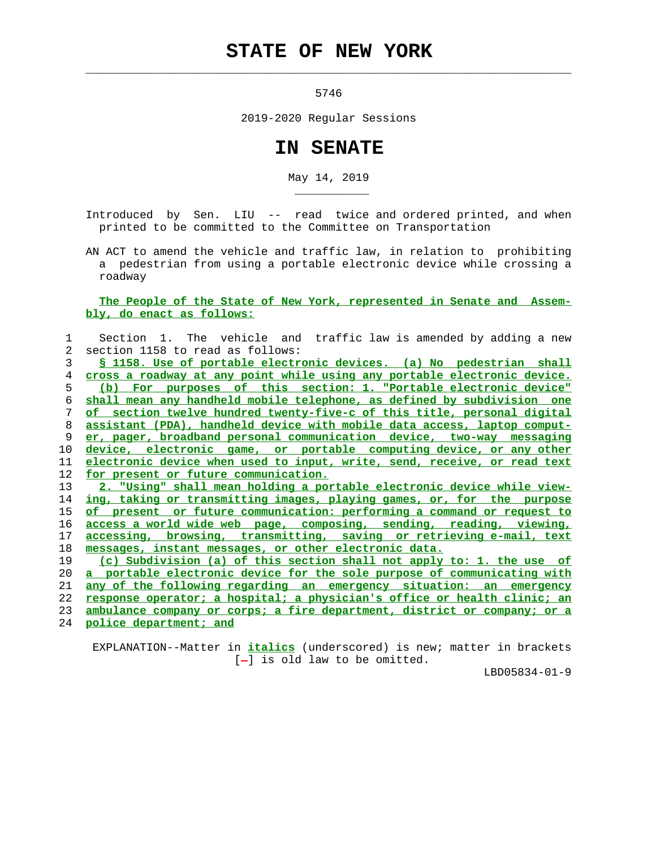## **STATE OF NEW YORK**

 $\mathcal{L}_\text{max} = \frac{1}{2} \sum_{i=1}^{n} \frac{1}{2} \sum_{i=1}^{n} \frac{1}{2} \sum_{i=1}^{n} \frac{1}{2} \sum_{i=1}^{n} \frac{1}{2} \sum_{i=1}^{n} \frac{1}{2} \sum_{i=1}^{n} \frac{1}{2} \sum_{i=1}^{n} \frac{1}{2} \sum_{i=1}^{n} \frac{1}{2} \sum_{i=1}^{n} \frac{1}{2} \sum_{i=1}^{n} \frac{1}{2} \sum_{i=1}^{n} \frac{1}{2} \sum_{i=1}^{n} \frac{1$ 

\_\_\_\_\_\_\_\_\_\_\_

5746

2019-2020 Regular Sessions

## **IN SENATE**

May 14, 2019

 Introduced by Sen. LIU -- read twice and ordered printed, and when printed to be committed to the Committee on Transportation

 AN ACT to amend the vehicle and traffic law, in relation to prohibiting a pedestrian from using a portable electronic device while crossing a roadway

 **The People of the State of New York, represented in Senate and Assem bly, do enact as follows:**

| 1  | Section 1. The vehicle and traffic law is amended by adding a new          |
|----|----------------------------------------------------------------------------|
| 2  | section 1158 to read as follows:                                           |
| 3  | \$ 1158. Use of portable electronic devices. (a) No pedestrian shall       |
| 4  | cross a roadway at any point while using any portable electronic device.   |
| 5  | purposes of this section: 1. "Portable electronic device"<br>$(b)$ For     |
| 6  | shall mean any handheld mobile telephone, as defined by subdivision one    |
| 7  | of section twelve hundred twenty-five-c of this title, personal digital    |
| 8  | assistant (PDA), handheld device with mobile data access, laptop comput-   |
| 9  | er, pager, broadband personal communication device, two-way messaging      |
| 10 | device, electronic game, or portable computing device, or any other        |
| 11 | electronic device when used to input, write, send, receive, or read text   |
| 12 | for present or future communication.                                       |
| 13 | 2. "Using" shall mean holding a portable electronic device while view-     |
| 14 | ing, taking or transmitting images, playing games, or, for the purpose     |
| 15 | of present or future communication: performing a command or request to     |
| 16 | access a world wide web page, composing, sending, reading, viewing,        |
| 17 | accessing, browsing, transmitting, saving or retrieving e-mail, text       |
| 18 | messages, instant messages, or other electronic data.                      |
| 19 | (c) Subdivision (a) of this section shall not apply to: 1. the use of      |
| 20 | a portable electronic device for the sole purpose of communicating with    |
| 21 | <u>any of the following regarding an emergency situation: an emergency</u> |
| 22 | response operator; a hospital; a physician's office or health clinic; an   |
| 23 | ambulance company or corps; a fire department, district or company; or a   |
| 24 | police department; and                                                     |
|    |                                                                            |

 EXPLANATION--Matter in **italics** (underscored) is new; matter in brackets [-] is old law to be omitted.

LBD05834-01-9